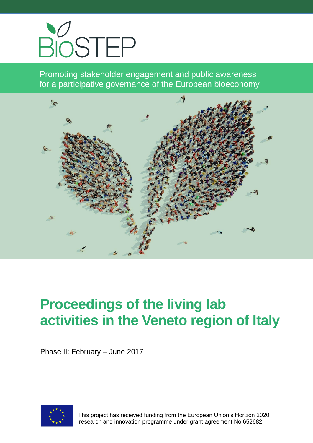

Promoting stakeholder engagement and public awareness for a participative governance of the European bioeconomy



# **Proceedings of the living lab activities in the Veneto region of Italy**

Phase II: February – June 2017



 This project has received funding from the European Union's Horizon 2020 research and innovation programme under grant agreement No 652682.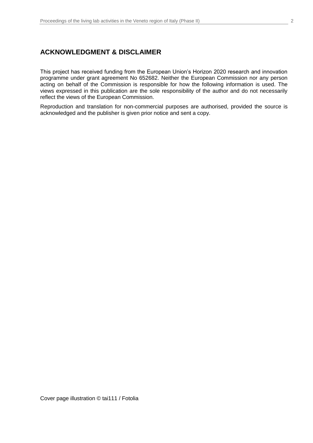## **ACKNOWLEDGMENT & DISCLAIMER**

This project has received funding from the European Union's Horizon 2020 research and innovation programme under grant agreement No 652682. Neither the European Commission nor any person acting on behalf of the Commission is responsible for how the following information is used. The views expressed in this publication are the sole responsibility of the author and do not necessarily reflect the views of the European Commission.

Reproduction and translation for non-commercial purposes are authorised, provided the source is acknowledged and the publisher is given prior notice and sent a copy.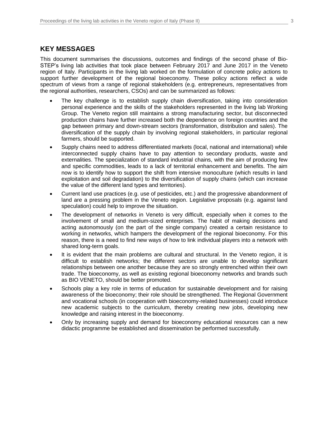## **KEY MESSAGES**

This document summarises the discussions, outcomes and findings of the second phase of Bio-STEP's living lab activities that took place between February 2017 and June 2017 in the Veneto region of Italy. Participants in the living lab worked on the formulation of concrete policy actions to support further development of the regional bioeconomy. These policy actions reflect a wide spectrum of views from a range of regional stakeholders (e.g. entrepreneurs, representatives from the regional authorities, researchers, CSOs) and can be summarized as follows:

- The key challenge is to establish supply chain diversification, taking into consideration personal experience and the skills of the stakeholders represented in the living lab Working Group. The Veneto region still maintains a strong manufacturing sector, but disconnected production chains have further increased both the dependence on foreign countries and the gap between primary and down-stream sectors (transformation, distribution and sales). The diversification of the supply chain by involving regional stakeholders, in particular regional farmers, should be supported.
- Supply chains need to address differentiated markets (local, national and international) while interconnected supply chains have to pay attention to secondary products, waste and externalities. The specialization of standard industrial chains, with the aim of producing few and specific commodities, leads to a lack of territorial enhancement and benefits. The aim now is to identify how to support the shift from intensive monoculture (which results in land exploitation and soil degradation) to the diversification of supply chains (which can increase the value of the different land types and territories).
- Current land use practices (e.g. use of pesticides, etc.) and the progressive abandonment of land are a pressing problem in the Veneto region. Legislative proposals (e.g. against land speculation) could help to improve the situation.
- The development of networks in Veneto is very difficult, especially when it comes to the involvement of small and medium-sized enterprises. The habit of making decisions and acting autonomously (on the part of the single company) created a certain resistance to working in networks, which hampers the development of the regional bioeconomy. For this reason, there is a need to find new ways of how to link individual players into a network with shared long-term goals.
- It is evident that the main problems are cultural and structural. In the Veneto region, it is difficult to establish networks; the different sectors are unable to develop significant relationships between one another because they are so strongly entrenched within their own trade. The bioeconomy, as well as existing regional bioeconomy networks and brands such as BIO VENETO, should be better promoted.
- Schools play a key role in terms of education for sustainable development and for raising awareness of the bioeconomy; their role should be strengthened. The Regional Government and vocational schools (in cooperation with bioeconomy-related businesses) could introduce new academic subjects to the curriculum, thereby creating new jobs, developing new knowledge and raising interest in the bioeconomy.
- Only by increasing supply and demand for bioeconomy educational resources can a new didactic programme be established and dissemination be performed successfully.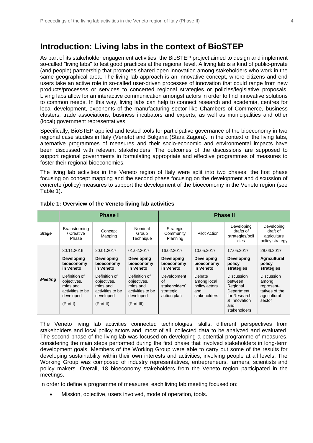As part of its stakeholder engagement activities, the BioSTEP project aimed to design and implement so-called "living labs" to test good practices at the regional level. A living lab is a kind of public-private (and people) partnership that promotes shared open innovation among stakeholders who work in the same geographical area. The living lab approach is an innovative concept, where citizens and end users take an active role in so-called user-driven processes of innovation that could range from new products/processes or services to concerted regional strategies or policies/legislative proposals. Living labs allow for an interactive communication amongst actors in order to find innovative solutions to common needs. In this way, living labs can help to connect research and academia, centres for local development, exponents of the manufacturing sector like Chambers of Commerce, business clusters, trade associations, business incubators and experts, as well as municipalities and other (local) government representatives.

Specifically, BioSTEP applied and tested tools for participative governance of the bioeconomy in two regional case studies in Italy (Veneto) and Bulgaria (Stara Zagora). In the context of the living labs, alternative programmes of measures and their socio-economic and environmental impacts have been discussed with relevant stakeholders. The outcomes of the discussions are supposed to support regional governments in formulating appropriate and effective programmes of measures to foster their regional bioeconomies.

The living lab activities in the Veneto region of Italy were split into two phases: the first phase focusing on concept mapping and the second phase focusing on the development and discussion of concrete (policy) measures to support the development of the bioecomomy in the Veneto region (see Table 1).

|                | <b>Phase I</b>                                                                         |                                                                                         |                                                                                          | <b>Phase II</b>                                                |                                                               |                                                                                                               |                                                                                      |
|----------------|----------------------------------------------------------------------------------------|-----------------------------------------------------------------------------------------|------------------------------------------------------------------------------------------|----------------------------------------------------------------|---------------------------------------------------------------|---------------------------------------------------------------------------------------------------------------|--------------------------------------------------------------------------------------|
| <b>Stage</b>   | Brainstorming<br>/ Creative<br>Phase                                                   | Concept<br>Mapping                                                                      | Nominal<br>Group<br>Technique                                                            | Strategic<br>Community<br>Planning                             | Pilot Action                                                  | Developing<br>drafts of<br>strategies/poli<br>cies                                                            | Developing<br>draft of<br>agriculture<br>policy strategy                             |
|                | 30.11.2016<br>Developing<br>bioeconomy<br>in Veneto                                    | 20.01.2017<br><b>Developing</b><br>bioeconomy<br>in Veneto                              | 01.02.2017<br>Developing<br>bioeconomy<br>in Veneto                                      | 16.02.2017<br>Developing<br>bioeconomy<br>in Veneto            | 10.05.2017<br><b>Developing</b><br>bioeconomy<br>in Veneto    | 17.05.2017<br><b>Developing</b><br>policy<br>strategies                                                       | 28.06.2017<br><b>Agricultural</b><br>policy<br>strategies                            |
| <b>Meeting</b> | Definition of<br>objectives,<br>roles and<br>activities to be<br>developed<br>(Part I) | Definition of<br>objectives,<br>roles and<br>activities to be<br>developed<br>(Part II) | Definition of<br>objectives,<br>roles and<br>activities to be<br>developed<br>(Part III) | Development<br>Ωf<br>stakeholders'<br>strategic<br>action plan | Debate<br>among local<br>policy actors<br>and<br>stakeholders | Discussion<br>between<br>Regional<br>Department<br>for Research<br>& Innovation<br>and<br><b>stakeholders</b> | <b>Discussion</b><br>among<br>represent-<br>tatives of the<br>agricultural<br>sector |

#### **Table 1: Overview of the Veneto living lab activities**

The Veneto living lab activities connected technologies, skills, different perspectives from stakeholders and local policy actors and, most of all, collected data to be analyzed and evaluated. The second phase of the living lab was focused on developing a potential programme of measures, considering the main steps performed during the first phase that involved stakeholders in long-term development goals. Members of the Working Group were able to carry out some of the results for developing sustainability within their own interests and activities, involving people at all levels. The Working Group was composed of industry representatives, entrepreneurs, farmers, scientists and policy makers. Overall, 18 bioeconomy stakeholders from the Veneto region participated in the meetings.

In order to define a programme of measures, each living lab meeting focused on:

Mission, objective, users involved, mode of operation, tools.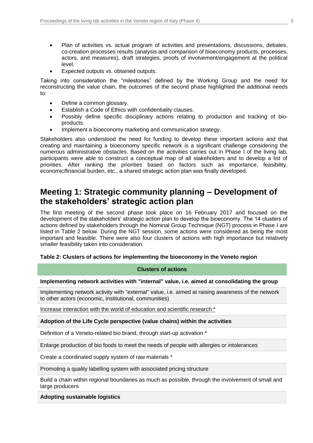- Plan of activities vs. actual program of activities and presentations, discussions, debates, co-creation processes results (analysis and comparison of bioeconomy products, processes, actors, and measures), draft strategies, proofs of involvement/engagement at the political level.
- Expected outputs vs. obtained outputs.

Taking into consideration the "milestones" defined by the Working Group and the need for reconstructing the value chain, the outcomes of the second phase highlighted the additional needs to:

- Define a common glossary.
- Establish a Code of Ethics with confidentiality clauses.
- Possibly define specific disciplinary actions relating to production and tracking of bioproducts.
- Implement a bioeconomy marketing and communication strategy.

Stakeholders also understood the need for funding to develop these important actions and that creating and maintaining a bioeconomy specific network is a significant challenge considering the numerous administrative obstacles. Based on the activities carries out in Phase I of the living lab, participants were able to construct a conceptual map of all stakeholders and to develop a list of priorities. After ranking the priorities based on factors such as importance, feasibility, economic/financial burden, etc., a shared strategic action plan was finally developed.

# **Meeting 1: Strategic community planning – Development of the stakeholders' strategic action plan**

The first meeting of the second phase took place on 16 February 2017 and focused on the development of the stakeholders' strategic action plan to develop the bioeconomy. The 14 clusters of actions defined by stakeholders through the Nominal Group Technique (NGT) process in Phase I are listed in Table 2 below. During the NGT session, some actions were considered as being the most important and feasible. There were also four clusters of actions with high importance but relatively smaller feasibility taken into consideration.

#### **Table 2: Clusters of actions for implementing the bioeconomy in the Veneto region**

#### **Clusters of actions**

#### **Implementing network activities with "internal" value, i.e. aimed at consolidating the group**

Implementing network activity with "external" value, i.e. aimed at raising awareness of the network to other actors (economic, institutional, communities)

Increase interaction with the world of education and scientific research \*

#### **Adoption of the Life Cycle perspective (value chains) within the activities**

Definition of a Veneto-related bio brand, through start-up activation \*

Enlarge production of bio foods to meet the needs of people with allergies or intolerances

Create a coordinated supply system of raw materials \*

Promoting a quality labelling system with associated pricing structure

Build a chain within regional boundaries as much as possible, through the involvement of small and large producers

**Adopting sustainable logistics**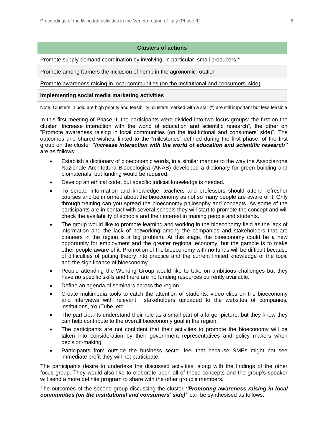#### **Clusters of actions**

Promote supply-demand coordination by involving, in particular, small producers \*

Promote among farmers the inclusion of hemp in the agronomic rotation

Promote awareness raising in local communities (on the institutional and consumers' side)

#### **Implementing social media marketing activities**

Note: Clusters in bold are high priority and feasibility; clusters marked with a star (\*) are still important but less feasible

In this first meeting of Phase II, the participants were divided into two focus groups: the first on the cluster "Increase interaction with the world of education and scientific research", the other on "Promote awareness raising in local communities (on the institutional and consumers' side)". The outcomes and shared wishes, linked to the "milestones" defined during the first phase, of the first group on the cluster *"Increase interaction with the world of education and scientific research"* are as follows:

- Establish a dictionary of bioeconomic words, in a similar manner to the way the Associazone Nazionale Architettura Bioecologica (ANAB) developed a dictionary for green building and biomaterials, but funding would be required.
- Develop an ethical code, but specific judicial knowledge is needed.
- To spread information and knowledge, teachers and professors should attend refresher courses and be informed about the bioeconomy as not so many people are aware of it. Only through training can you spread the bioeconomy philosophy and concepts. As some of the participants are in contact with several schools they will start to promote the concept and will check the availability of schools and their interest in training people and students.
- The group would like to promote learning and working in the bioeconomy field as the lack of information and the lack of networking among the companies and stakeholders that are pioneers in the region is a big problem. At this stage, the bioeconomy could be a new opportunity for employment and the greater regional economy, but the gamble is to make other people aware of it. Promotion of the bioeconomy with no funds will be difficult because of difficulties of putting theory into practice and the current limited knowledge of the topic and the significance of bioeconomy.
- People attending the Working Group would like to take on ambitious challenges but they have no specific skills and there are no funding resources currently available.
- Define an agenda of seminars across the region.
- Create multimedia tools to catch the attention of students: video clips on the bioeconomy and interviews with relevant stakeholders uploaded to the websites of companies, institutions, YouTube, etc.
- The participants understand their role as a small part of a larger picture, but they know they can help contribute to the overall bioeconomy goal in the region.
- The participants are not confident that their activities to promote the bioeconomy will be taken into consideration by their government representatives and policy makers when decision-making.
- Participants from outside the business sector feel that because SMEs might not see immediate profit they will not participate.

The participants desire to undertake the discussed activities, along with the findings of the other focus group. They would also like to elaborate upon all of these concepts and the group's speaker will send a more definite program to share with the other group's members.

The outcomes of the second group discussing the cluster *"Promoting awareness raising in local communities (on the institutional and consumers' side)"* can be synthesised as follows: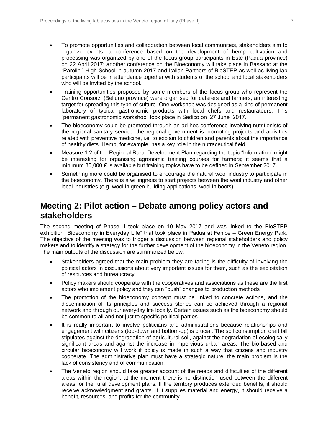- To promote opportunities and collaboration between local communities, stakeholders aim to organize events: a conference based on the development of hemp cultivation and processing was organized by one of the focus group participants in Este (Padua province) on 22 April 2017; another conference on the Bioeconomy will take place in Bassano at the "Parolini" High School in autumn 2017 and Italian Partners of BioSTEP as well as living lab participants will be in attendance together with students of the school and local stakeholders who will be invited by the school.
- Training opportunities proposed by some members of the focus group who represent the Centro Consorzi (Belluno province) were organised for caterers and farmers, an interesting target for spreading this type of culture. One workshop was designed as a kind of permanent laboratory of typical gastronomic products with local chefs and restaurateurs. This "permanent gastronomic workshop" took place in Sedico on 27 June 2017.
- The bioeconomy could be promoted through an ad hoc conference involving nutritionists of the regional sanitary service: the regional government is promoting projects and activities related with preventive medicine, i.e. to explain to children and parents about the importance of healthy diets. Hemp, for example, has a key role in the nutraceutical field.
- Measure 1.2 of the Regional Rural Development Plan regarding the topic "Information" might be interesting for organising agronomic training courses for farmers; it seems that a minimum 30,000  $\epsilon$  is available but training topics have to be defined in September 2017.
- Something more could be organised to encourage the natural wool industry to participate in the bioeconomy. There is a willingness to start projects between the wool industry and other local industries (e.g. wool in green building applications, wool in boots).

## **Meeting 2: Pilot action – Debate among policy actors and stakeholders**

The second meeting of Phase II took place on 10 May 2017 and was linked to the BioSTEP exhibition "Bioeconomy in Everyday Life" that took place in Padua at Fenice – Green Energy Park. The objective of the meeting was to trigger a discussion between regional stakeholders and policy makers and to identify a strategy for the further development of the bioeconomy in the Veneto region. The main outputs of the discussion are summarized below:

- Stakeholders agreed that the main problem they are facing is the difficulty of involving the political actors in discussions about very important issues for them, such as the exploitation of resources and bureaucracy.
- Policy makers should cooperate with the cooperatives and associations as these are the first actors who implement policy and they can "push" changes to production methods
- The promotion of the bioeconomy concept must be linked to concrete actions, and the dissemination of its principles and success stories can be achieved through a regional network and through our everyday life locally. Certain issues such as the bioeconomy should be common to all and not just to specific political parties.
- It is really important to involve politicians and administrations because relationships and engagement with citizens (top-down and bottom-up) is crucial. The soil consumption draft bill stipulates against the degradation of agricultural soil, against the degradation of ecologically significant areas and against the increase in impervious urban areas. The bio-based and circular bioeconomy will work if policy is made in such a way that citizens and industry cooperate. The administrative plan must have a strategic nature; the main problem is the lack of consistency and of communication.
- The Veneto region should take greater account of the needs and difficulties of the different areas within the region; at the moment there is no distinction used between the different areas for the rural development plans. If the territory produces extended benefits, it should receive acknowledgment and grants. If it supplies material and energy, it should receive a benefit, resources, and profits for the community.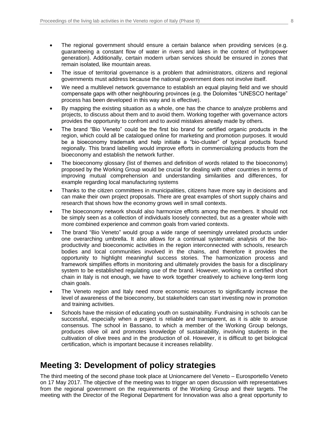- The regional government should ensure a certain balance when providing services (e.g. guaranteeing a constant flow of water in rivers and lakes in the context of hydropower generation). Additionally, certain modern urban services should be ensured in zones that remain isolated, like mountain areas.
- The issue of territorial governance is a problem that administrators, citizens and regional governments must address because the national government does not involve itself.
- We need a multilevel network governance to establish an equal playing field and we should compensate gaps with other neighbouring provinces (e.g. the Dolomites "UNESCO heritage" process has been developed in this way and is effective).
- By mapping the existing situation as a whole, one has the chance to analyze problems and projects, to discuss about them and to avoid them. Working together with governance actors provides the opportunity to confront and to avoid mistakes already made by others.
- The brand "Bio Veneto" could be the first bio brand for certified organic products in the region, which could all be catalogued online for marketing and promotion purposes. It would be a bioeconomy trademark and help initiate a "bio-cluster" of typical products found regionally. This brand labelling would improve efforts in commercializing products from the bioeconomy and establish the network further.
- The bioeconomy glossary (list of themes and definition of words related to the bioeconomy) proposed by the Working Group would be crucial for dealing with other countries in terms of improving mutual comprehension and understanding similarities and differences, for example regarding local manufacturing systems
- Thanks to the citizen committees in municipalities, citizens have more say in decisions and can make their own project proposals. There are great examples of short supply chains and research that shows how the economy grows well in small contexts.
- The bioeconomy network should also harmonize efforts among the members. It should not be simply seen as a collection of individuals loosely connected, but as a greater whole with more combined experience and common goals from varied contexts.
- The brand "Bio Veneto" would group a wide range of seemingly unrelated products under one overarching umbrella. It also allows for a continual systematic analysis of the bioproductivity and bioeconomic activities in the region interconnected with schools, research bodies and local communities involved in the chains, and therefore it provides the opportunity to highlight meaningful success stories. The harmonization process and framework simplifies efforts in monitoring and ultimately provides the basis for a disciplinary system to be established regulating use of the brand. However, working in a certified short chain in Italy is not enough, we have to work together creatively to achieve long-term long chain goals.
- The Veneto region and Italy need more economic resources to significantly increase the level of awareness of the bioeconomy, but stakeholders can start investing now in promotion and training activities.
- Schools have the mission of educating youth on sustainability. Fundraising in schools can be successful, especially when a project is reliable and transparent, as it is able to arouse consensus. The school in Bassano, to which a member of the Working Group belongs, produces olive oil and promotes knowledge of sustainability, involving students in the cultivation of olive trees and in the production of oil. However, it is difficult to get biological certification, which is important because it increases reliability.

# **Meeting 3: Development of policy strategies**

The third meeting of the second phase took place at Unioncamere del Veneto – Eurosportello Veneto on 17 May 2017. The objective of the meeting was to trigger an open discussion with representatives from the regional government on the requirements of the Working Group and their targets. The meeting with the Director of the Regional Department for Innovation was also a great opportunity to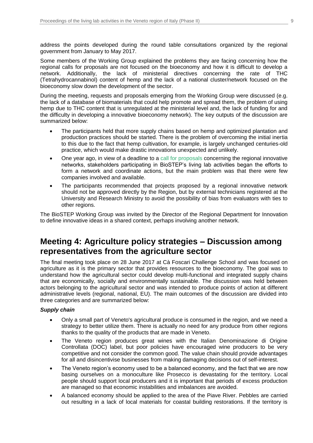address the points developed during the round table consultations organized by the regional government from January to May 2017.

Some members of the Working Group explained the problems they are facing concerning how the regional calls for proposals are not focused on the bioeconomy and how it is difficult to develop a network. Additionally, the lack of ministerial directives concerning the rate of THC (Tetrahydrocannabinol) content of hemp and the lack of a national cluster/network focused on the bioeconomy slow down the development of the sector.

During the meeting, requests and proposals emerging from the Working Group were discussed (e.g. the lack of a database of biomaterials that could help promote and spread them, the problem of using hemp due to THC content that is unregulated at the ministerial level and, the lack of funding for and the difficulty in developing a innovative bioeconomy network). The key outputs of the discussion are summarized below:

- The participants held that more supply chains based on hemp and optimized plantation and production practices should be started. There is the problem of overcoming the initial inertia to this due to the fact that hemp cultivation, for example, is largely unchanged centuries-old practice, which would make drastic innovations unexpected and unlikely.
- One year ago, in view of a deadline to a [call for proposals](https://bur.regione.veneto.it/BurvServices/pubblica/DettaglioLegge.aspx?id=275529) concerning the regional innovative networks, stakeholders participating in BioSTEP's living lab activities began the efforts to form a network and coordinate actions, but the main problem was that there were few companies involved and available.
- The participants recommended that projects proposed by a regional innovative network should not be approved directly by the Region, but by external technicians registered at the University and Research Ministry to avoid the possibility of bias from evaluators with ties to other regions.

The BioSTEP Working Group was invited by the Director of the Regional Department for Innovation to define innovative ideas in a shared context, perhaps involving another network.

## **Meeting 4: Agriculture policy strategies – Discussion among representatives from the agriculture sector**

The final meeting took place on 28 June 2017 at Cà Foscari Challenge School and was focused on agriculture as it is the primary sector that provides resources to the bioeconomy. The goal was to understand how the agricultural sector could develop multi-functional and integrated supply chains that are economically, socially and environmentally sustainable. The discussion was held between actors belonging to the agricultural sector and was intended to produce points of action at different administrative levels (regional, national, EU). The main outcomes of the discussion are divided into three categories and are summarized below:

#### *Supply chain*

- Only a small part of Veneto's agricultural produce is consumed in the region, and we need a strategy to better utilize them. There is actually no need for any produce from other regions thanks to the quality of the products that are made in Veneto.
- The Veneto region produces great wines with the Italian Denominazione di Origine Controllata (DOC) label, but poor policies have encouraged wine producers to be very competitive and not consider the common good. The value chain should provide advantages for all and disincentivise businesses from making damaging decisions out of self-interest.
- The Veneto region's economy used to be a balanced economy, and the fact that we are now basing ourselves on a monoculture like Prosecco is devastating for the territory. Local people should support local producers and it is important that periods of excess production are managed so that economic instabilities and imbalances are avoided.
- A balanced economy should be applied to the area of the Piave River. Pebbles are carried out resulting in a lack of local materials for coastal building restorations. If the territory is